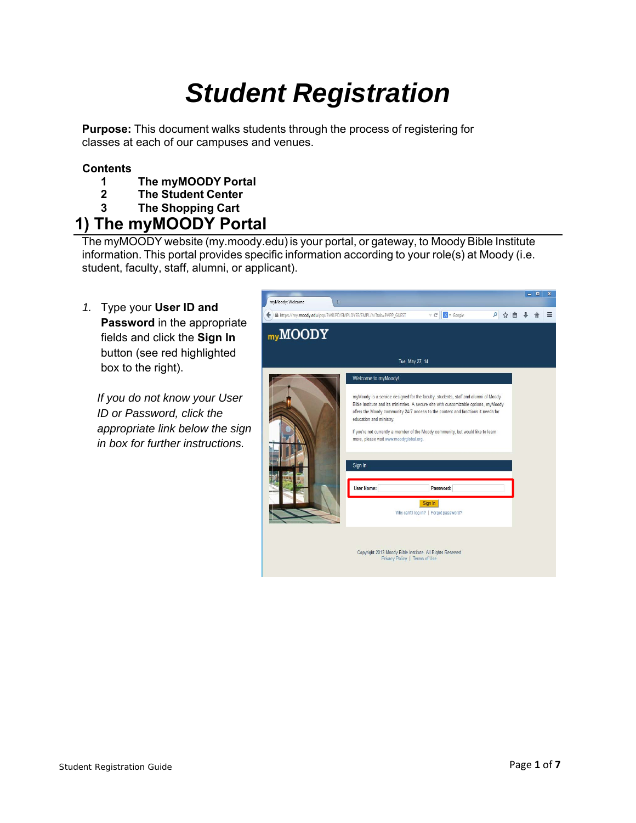# *Student Registration*

**Purpose:** This document walks students through the process of registering for classes at each of our campuses and venues.

### **Contents**

- **1 The myMOODY Portal**
- **2 The Student Center**
- **3 The Shopping Cart**

## **1) The myMOODY Portal**

The myMOODY website (my.moody.edu) is your portal, or gateway, to Moody Bible Institute information. This portal provides specific information according to your role(s) at Moody (i.e. student, faculty, staff, alumni, or applicant).

*1.* Type your **User ID and Password** in the appropriate fields and click the **Sign In**  button (see red highlighted box to the right).

*If you do not know your User ID or Password, click the appropriate link below the sign in box for further instructions.* 

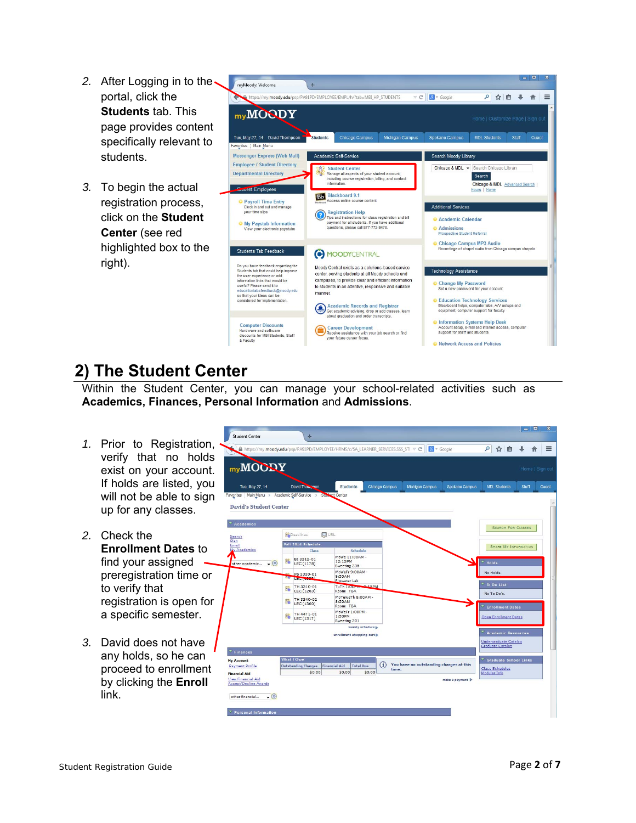- 2. After Logging in to the portal, click the **Students** tab. This page provides content specifically relevant to students.
- *3.* To begin the actual registration process, click on the **Student Center** (see red highlighted box to the right).



## **2) The Student Center**

Within the Student Center, you can manage your school-related activities such as **Academics, Finances, Personal Information** and **Admissions**.

- *1.* Prior to Registration, verify that no holds exist on your account. If holds are listed, you will not be able to sign up for any classes.
- *2.* Check the **Enrollment Dates** to find your assigned preregistration time or to verify that registration is open for a specific semester.
- *3.* David does not have any holds, so he can proceed to enrollment by clicking the **Enroll** link.

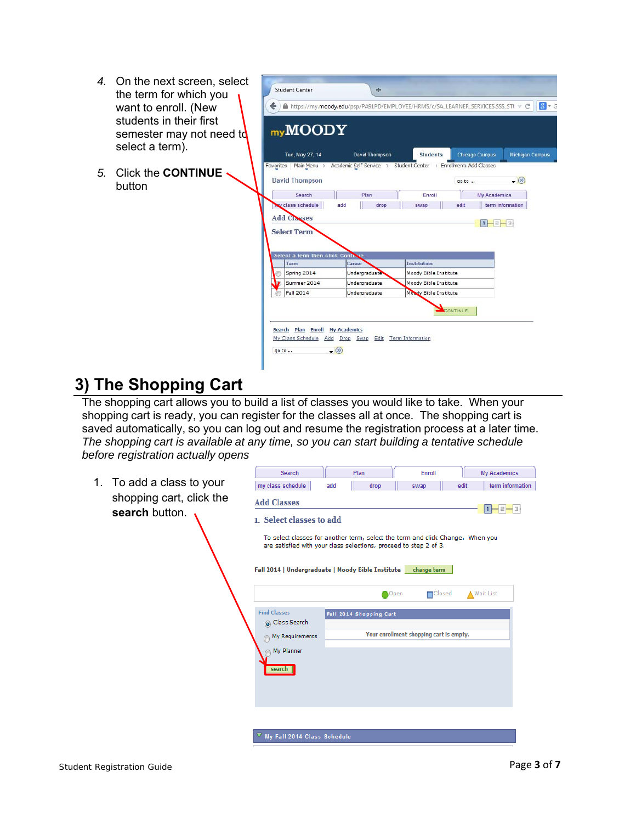- *4.* On the next screen, select the term for which you want to enroll. (New students in their first semester may not need to select a term).
- *5.* Click the **CONTINUE**  button

|           | myMOODY                                                  |                                                                  |                       |       |                       |                        |
|-----------|----------------------------------------------------------|------------------------------------------------------------------|-----------------------|-------|-----------------------|------------------------|
|           | Tue, May 27, 14                                          | David Thompson                                                   | <b>Students</b>       |       | <b>Chicago Campus</b> | <b>Michigan Campus</b> |
| Favorites | Main Menu ><br><b>David Thompson</b>                     | Academic Self-Service > Student Center > Enrollment: Add Classes |                       | go to |                       | $ (8)$                 |
|           | Search<br>w class schedule<br><b>Add Classes</b>         | Plan<br>add<br>drop                                              | Enroll<br>swap        | edit  | <b>My Academics</b>   | term information       |
|           | <b>Select Term</b><br>Select a term then click Continue. |                                                                  |                       |       | п                     |                        |
|           | Term                                                     | Career                                                           | <b>Institution</b>    |       |                       |                        |
|           | Spring 2014                                              | Undergraduate                                                    | Moody Bible Institute |       |                       |                        |
|           |                                                          | Undergraduate                                                    | Moody Bible Institute |       |                       |                        |
|           | Summer 2014                                              |                                                                  |                       |       |                       |                        |
|           | Fall 2014                                                | Undergraduate                                                    | Moody Bible Institute |       |                       |                        |

## **3) The Shopping Cart**

The shopping cart allows you to build a list of classes you would like to take. When your shopping cart is ready, you can register for the classes all at once. The shopping cart is saved automatically, so you can log out and resume the registration process at a later time. *The shopping cart is available at any time, so you can start building a tentative schedule before registration actually opens* 

1. To add a class to your shopping cart, click the **search** button.

| Search                               | Plan                                                                                                                                                | Enroll                                  | <b>My Academics</b>      |
|--------------------------------------|-----------------------------------------------------------------------------------------------------------------------------------------------------|-----------------------------------------|--------------------------|
| my class schedule                    | drop<br>add                                                                                                                                         | swap                                    | term information<br>edit |
| <b>Add Classes</b>                   |                                                                                                                                                     |                                         |                          |
| 1. Select classes to add             |                                                                                                                                                     |                                         |                          |
|                                      | To select classes for another term, select the term and click Change. When you<br>are satisfied with your class selections, proceed to step 2 of 3. |                                         |                          |
|                                      |                                                                                                                                                     |                                         |                          |
|                                      | Fall 2014   Undergraduate   Moody Bible Institute   change term                                                                                     |                                         |                          |
|                                      |                                                                                                                                                     |                                         |                          |
|                                      |                                                                                                                                                     | <b>□</b> Closed<br>Open                 | <b>A</b> Wait List       |
| <b>Find Classes</b>                  | Fall 2014 Shopping Cart                                                                                                                             |                                         |                          |
| Class Search                         |                                                                                                                                                     | Your enrollment shopping cart is empty. |                          |
| My Requirements<br>My Planner        |                                                                                                                                                     |                                         |                          |
|                                      |                                                                                                                                                     |                                         |                          |
| search                               |                                                                                                                                                     |                                         |                          |
|                                      |                                                                                                                                                     |                                         |                          |
|                                      |                                                                                                                                                     |                                         |                          |
|                                      |                                                                                                                                                     |                                         |                          |
| $\nabla$ My Fall 2014 Class Schedule |                                                                                                                                                     |                                         |                          |
|                                      |                                                                                                                                                     |                                         |                          |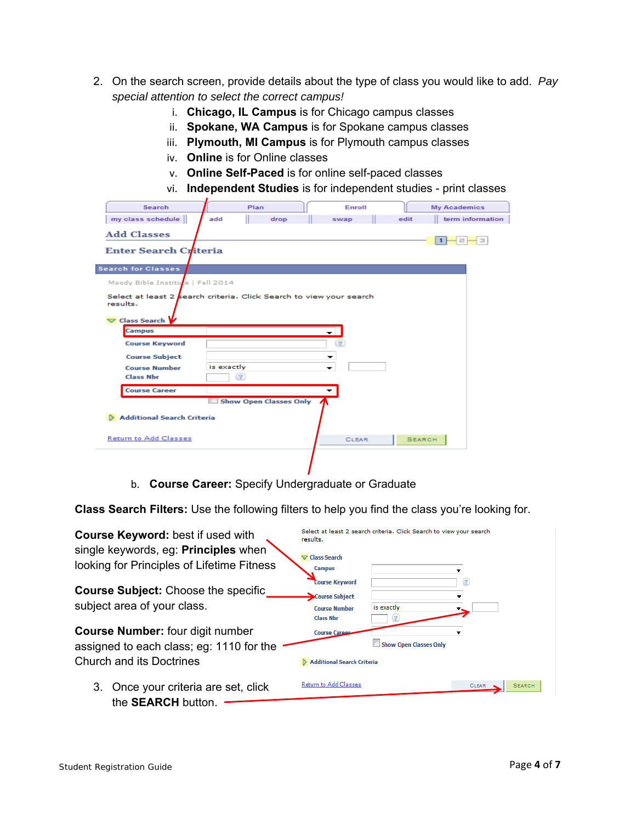- 2. On the search screen, provide details about the type of class you would like to add. *Pay special attention to select the correct campus!*
	- i. **Chicago, IL Campus** is for Chicago campus classes
	- ii. **Spokane, WA Campus** is for Spokane campus classes
	- iii. **Plymouth, MI Campus** is for Plymouth campus classes
	- iv. **Online** is for Online classes
	- v. **Online Self-Paced** is for online self-paced classes
	- vi. **Independent Studies** is for independent studies print classes

| Search                            | Plan                                                                | Enroll                   |               | <b>My Academics</b> |
|-----------------------------------|---------------------------------------------------------------------|--------------------------|---------------|---------------------|
| my class schedule                 | add<br>drop                                                         | swap                     | edit          | term information    |
| <b>Add Classes</b>                |                                                                     |                          |               |                     |
| <b>Enter Search Criteria</b>      |                                                                     |                          |               |                     |
| <b>Search for Classes</b>         |                                                                     |                          |               |                     |
| Moody Bible Institute   Fall 2014 |                                                                     |                          |               |                     |
| results.<br>Class Search          | Select at least 2 search criteria. Click Search to view your search |                          |               |                     |
| <b>Campus</b>                     |                                                                     | $\overline{\phantom{0}}$ |               |                     |
| <b>Course Keyword</b>             |                                                                     |                          |               |                     |
| <b>Course Subject</b>             |                                                                     | ▾                        |               |                     |
| <b>Course Number</b>              | is exactly                                                          | -                        |               |                     |
| <b>Class Nbr</b>                  | $\left( 2\right)$                                                   |                          |               |                     |
| <b>Course Career</b>              |                                                                     |                          |               |                     |
|                                   | <b>Show Open Classes Only</b>                                       |                          |               |                     |
| Additional Search Criteria        |                                                                     |                          |               |                     |
| <b>Return to Add Classes</b>      |                                                                     | <b>CLEAR</b>             | <b>SEARCH</b> |                     |
|                                   |                                                                     |                          |               |                     |

b. **Course Career:** Specify Undergraduate or Graduate

**Class Search Filters:** Use the following filters to help you find the class you're looking for.

| <b>Course Keyword: best if used with</b>                                            | results.                                                                            | Select at least 2 search criteria. Click Search to view your search |       |               |
|-------------------------------------------------------------------------------------|-------------------------------------------------------------------------------------|---------------------------------------------------------------------|-------|---------------|
| single keywords, eg: Principles when<br>looking for Principles of Lifetime Fitness  | $\nabla$ Class Search<br><b>Campus</b>                                              |                                                                     | ▼     |               |
| <b>Course Subject: Choose the specific</b><br>subject area of your class.           | <b>Course Keyword</b><br>Course Subject<br><b>Course Number</b><br><b>Class Nbr</b> | is exactly                                                          | (2)   |               |
| <b>Course Number:</b> four digit number<br>assigned to each class; eg: 1110 for the | <b>Course Caree</b>                                                                 | Show Open Classes Only                                              |       |               |
| <b>Church and its Doctrines</b>                                                     | <b>Additional Search Criteria</b>                                                   |                                                                     |       |               |
| 3. Once your criteria are set, click<br>the <b>SEARCH</b> button.                   | <b>Return to Add Classes</b>                                                        |                                                                     | CLEAR | <b>SEARCH</b> |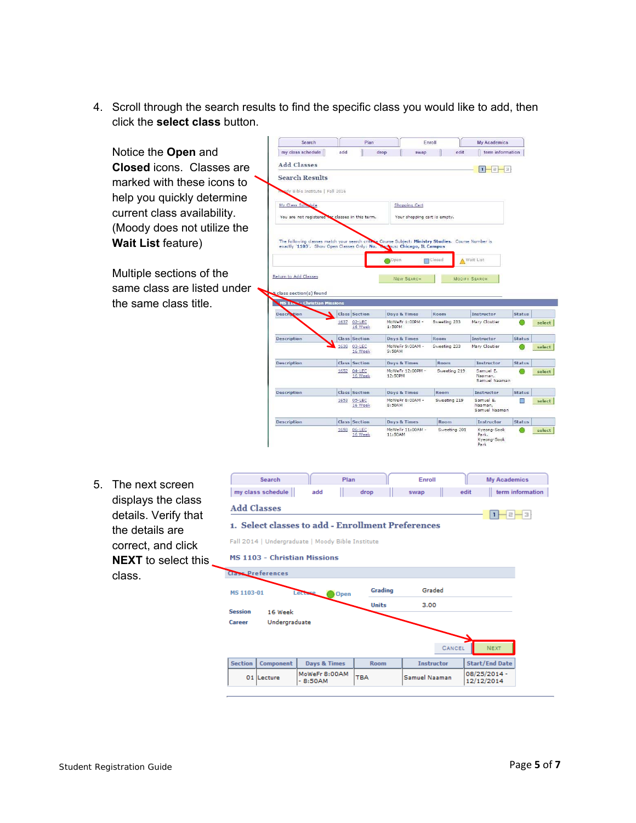4. Scroll through the search results to find the specific class you would like to add, then click the **select class** button.

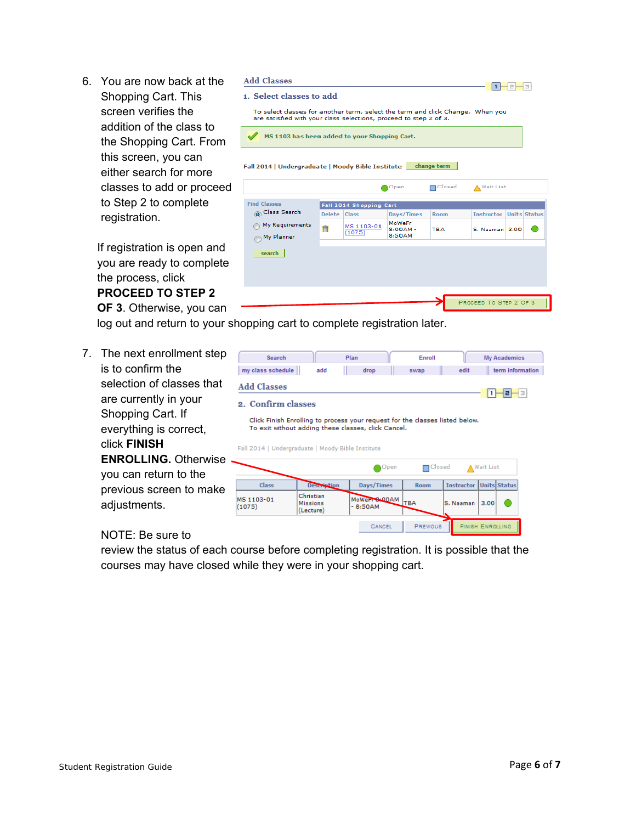6. You are now back at the Shopping Cart. This screen verifies the addition of the class to the Shopping Cart. From this screen, you can either search for more classes to add or proceed to Step 2 to complete registration.

If registration is open and you are ready to complete the process, click **PROCEED TO STEP 2** 

**OF 3**. Otherwise, you can

log out and return to your shopping cart to complete registration later.

7. The next enrollment step is to confirm the selection of classes that are currently in your Shopping Cart. If everything is correct, click **FINISH ENROLLING.** Otherwise you can return to the previous screen to make adjustments.

#### NOTE: Be sure to

review the status of each course before completing registration. It is possible that the courses may have closed while they were in your shopping cart.

#### **Add Classes**

| 1. Select classes to add                                                                                                                            |              |                         |                                |               |                        |                     |
|-----------------------------------------------------------------------------------------------------------------------------------------------------|--------------|-------------------------|--------------------------------|---------------|------------------------|---------------------|
| To select classes for another term, select the term and click Change. When you<br>are satisfied with your class selections, proceed to step 2 of 3. |              |                         |                                |               |                        |                     |
| MS 1103 has been added to your Shopping Cart.                                                                                                       |              |                         |                                |               |                        |                     |
| Fall 2014   Undergraduate   Moody Bible Institute                                                                                                   |              |                         |                                | change term   |                        |                     |
|                                                                                                                                                     |              |                         | Open                           | $\Box$ Closed | <b>Wait List</b>       |                     |
| <b>Find Classes</b>                                                                                                                                 |              | Fall 2014 Shopping Cart |                                |               |                        |                     |
| O Class Search                                                                                                                                      | Delete Class |                         | Days/Times                     | <b>Room</b>   | <b>Instructor</b>      | <b>Units Status</b> |
| My Requirements<br>My Planner                                                                                                                       | 自            | MS 1103-01<br>(1075)    | MoWeFr<br>$8:00AM -$<br>8:50AM | <b>TBA</b>    | S. Naaman 3.00         |                     |
| search                                                                                                                                              |              |                         |                                |               |                        |                     |
|                                                                                                                                                     |              |                         |                                |               |                        |                     |
|                                                                                                                                                     |              |                         |                                |               |                        |                     |
|                                                                                                                                                     |              |                         |                                |               |                        |                     |
|                                                                                                                                                     |              |                         |                                |               | PROCEED TO STEP 2 OF 3 |                     |

**Industrial** 

| Search                                                                                                   |                                           |                    | Plan                       |            | Enroll |                                                                              | <b>My Academics</b>            |
|----------------------------------------------------------------------------------------------------------|-------------------------------------------|--------------------|----------------------------|------------|--------|------------------------------------------------------------------------------|--------------------------------|
| my class schedule                                                                                        |                                           | add                | drop                       |            | swap   | edit                                                                         | term information               |
| <b>Add Classes</b><br>2. Confirm classes                                                                 |                                           |                    |                            |            |        |                                                                              |                                |
| To exit without adding these classes, click Cancel.<br>Fall 2014   Undergraduate   Moody Bible Institute |                                           |                    |                            |            |        | Click Finish Enrolling to process your request for the classes listed below. |                                |
|                                                                                                          |                                           |                    |                            | Open       | Closed |                                                                              | <b>A</b> Wait List             |
| Class                                                                                                    |                                           | <b>Description</b> | Days/Times                 |            | Room   |                                                                              | <b>Instructor Units Status</b> |
|                                                                                                          |                                           |                    |                            |            |        |                                                                              |                                |
| MS 1103-01<br>(1075)                                                                                     | Christian<br><b>Missions</b><br>(Lecture) |                    | MoWeFT 8-00AM<br>$-8:50AM$ | <b>TBA</b> |        | S. Naaman                                                                    | 3.00                           |